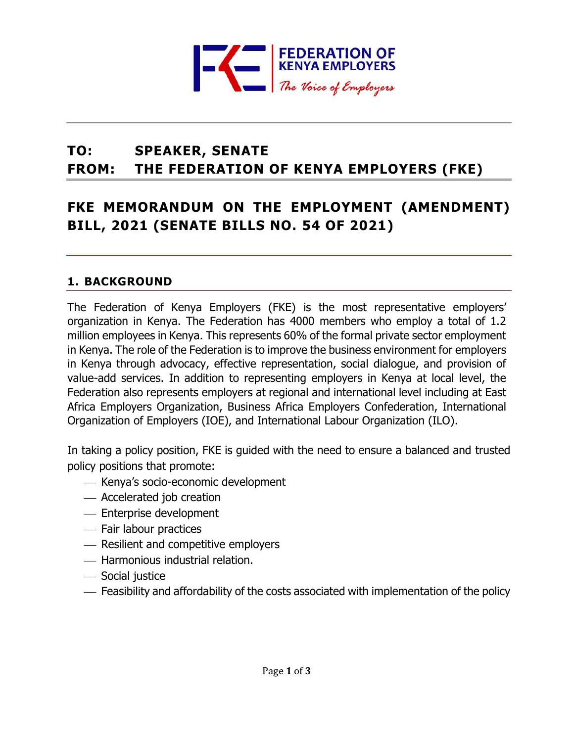

# **TO: SPEAKER, SENATE FROM: THE FEDERATION OF KENYA EMPLOYERS (FKE)**

# **FKE MEMORANDUM ON THE EMPLOYMENT (AMENDMENT) BILL, 2021 (SENATE BILLS NO. 54 OF 2021)**

### **1. BACKGROUND**

The Federation of Kenya Employers (FKE) is the most representative employers' organization in Kenya. The Federation has 4000 members who employ a total of 1.2 million employees in Kenya. This represents 60% of the formal private sector employment in Kenya. The role of the Federation is to improve the business environment for employers in Kenya through advocacy, effective representation, social dialogue, and provision of value-add services. In addition to representing employers in Kenya at local level, the Federation also represents employers at regional and international level including at East Africa Employers Organization, Business Africa Employers Confederation, International Organization of Employers (IOE), and International Labour Organization (ILO).

In taking a policy position, FKE is guided with the need to ensure a balanced and trusted policy positions that promote:

- ⎯ Kenya's socio-economic development
- Accelerated job creation
- Enterprise development
- Fair labour practices
- ⎯ Resilient and competitive employers
- ⎯ Harmonious industrial relation.
- Social justice
- $-$  Feasibility and affordability of the costs associated with implementation of the policy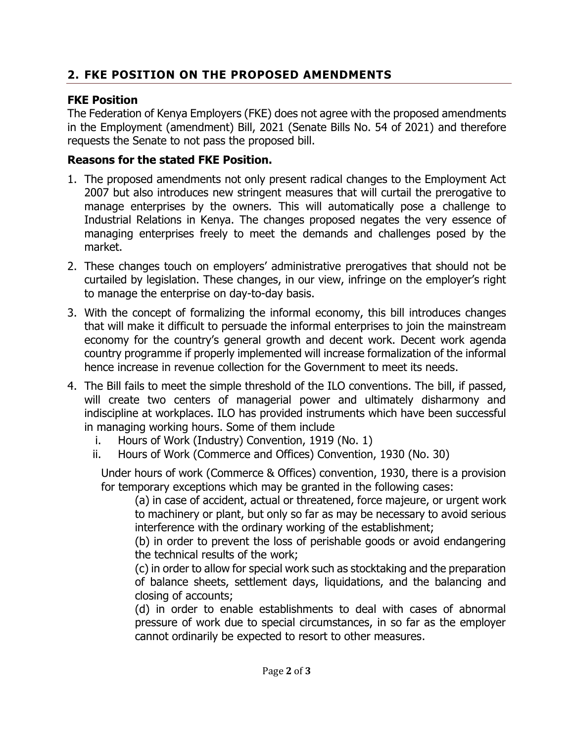# **2. FKE POSITION ON THE PROPOSED AMENDMENTS**

## **FKE Position**

The Federation of Kenya Employers (FKE) does not agree with the proposed amendments in the Employment (amendment) Bill, 2021 (Senate Bills No. 54 of 2021) and therefore requests the Senate to not pass the proposed bill.

## **Reasons for the stated FKE Position.**

- 1. The proposed amendments not only present radical changes to the Employment Act 2007 but also introduces new stringent measures that will curtail the prerogative to manage enterprises by the owners. This will automatically pose a challenge to Industrial Relations in Kenya. The changes proposed negates the very essence of managing enterprises freely to meet the demands and challenges posed by the market.
- 2. These changes touch on employers' administrative prerogatives that should not be curtailed by legislation. These changes, in our view, infringe on the employer's right to manage the enterprise on day-to-day basis.
- 3. With the concept of formalizing the informal economy, this bill introduces changes that will make it difficult to persuade the informal enterprises to join the mainstream economy for the country's general growth and decent work. Decent work agenda country programme if properly implemented will increase formalization of the informal hence increase in revenue collection for the Government to meet its needs.
- 4. The Bill fails to meet the simple threshold of the ILO conventions. The bill, if passed, will create two centers of managerial power and ultimately disharmony and indiscipline at workplaces. ILO has provided instruments which have been successful in managing working hours. Some of them include
	- i. Hours of Work (Industry) Convention, 1919 (No. 1)
	- ii. Hours of Work (Commerce and Offices) Convention, 1930 (No. 30)

Under hours of work (Commerce & Offices) convention, 1930, there is a provision for temporary exceptions which may be granted in the following cases:

(a) in case of accident, actual or threatened, force majeure, or urgent work to machinery or plant, but only so far as may be necessary to avoid serious interference with the ordinary working of the establishment;

(b) in order to prevent the loss of perishable goods or avoid endangering the technical results of the work;

(c) in order to allow for special work such as stocktaking and the preparation of balance sheets, settlement days, liquidations, and the balancing and closing of accounts;

(d) in order to enable establishments to deal with cases of abnormal pressure of work due to special circumstances, in so far as the employer cannot ordinarily be expected to resort to other measures.